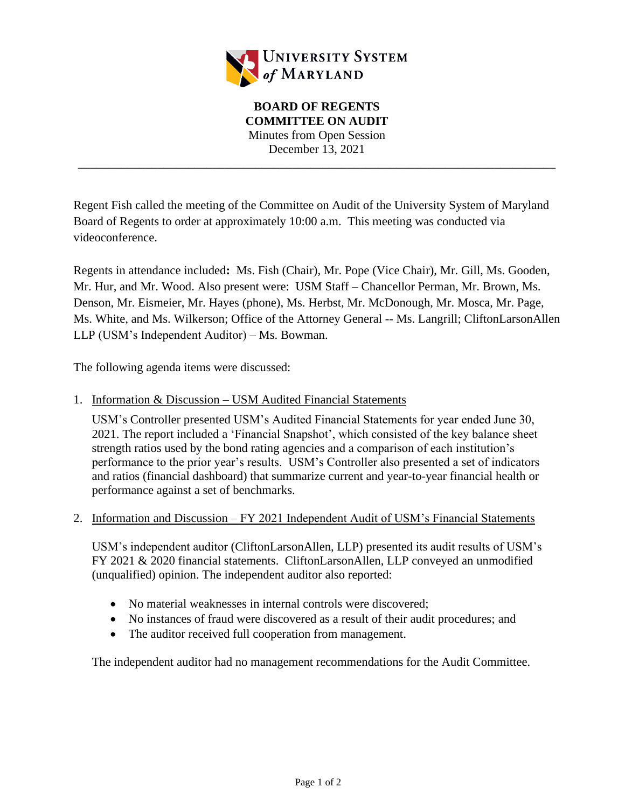

\_\_\_\_\_\_\_\_\_\_\_\_\_\_\_\_\_\_\_\_\_\_\_\_\_\_\_\_\_\_\_\_\_\_\_\_\_\_\_\_\_\_\_\_\_\_\_\_\_\_\_\_\_\_\_\_\_\_\_\_\_\_\_\_\_\_\_\_\_\_\_\_\_\_\_\_\_\_

Regent Fish called the meeting of the Committee on Audit of the University System of Maryland Board of Regents to order at approximately 10:00 a.m. This meeting was conducted via videoconference.

Regents in attendance included**:** Ms. Fish (Chair), Mr. Pope (Vice Chair), Mr. Gill, Ms. Gooden, Mr. Hur, and Mr. Wood. Also present were: USM Staff – Chancellor Perman, Mr. Brown, Ms. Denson, Mr. Eismeier, Mr. Hayes (phone), Ms. Herbst, Mr. McDonough, Mr. Mosca, Mr. Page, Ms. White, and Ms. Wilkerson; Office of the Attorney General -- Ms. Langrill; CliftonLarsonAllen LLP (USM's Independent Auditor) – Ms. Bowman.

The following agenda items were discussed:

1. Information & Discussion – USM Audited Financial Statements

USM's Controller presented USM's Audited Financial Statements for year ended June 30, 2021. The report included a 'Financial Snapshot', which consisted of the key balance sheet strength ratios used by the bond rating agencies and a comparison of each institution's performance to the prior year's results. USM's Controller also presented a set of indicators and ratios (financial dashboard) that summarize current and year-to-year financial health or performance against a set of benchmarks.

2. Information and Discussion – FY 2021 Independent Audit of USM's Financial Statements

USM's independent auditor (CliftonLarsonAllen, LLP) presented its audit results of USM's FY 2021 & 2020 financial statements. CliftonLarsonAllen, LLP conveyed an unmodified (unqualified) opinion. The independent auditor also reported:

- No material weaknesses in internal controls were discovered:
- No instances of fraud were discovered as a result of their audit procedures; and
- The auditor received full cooperation from management.

The independent auditor had no management recommendations for the Audit Committee.